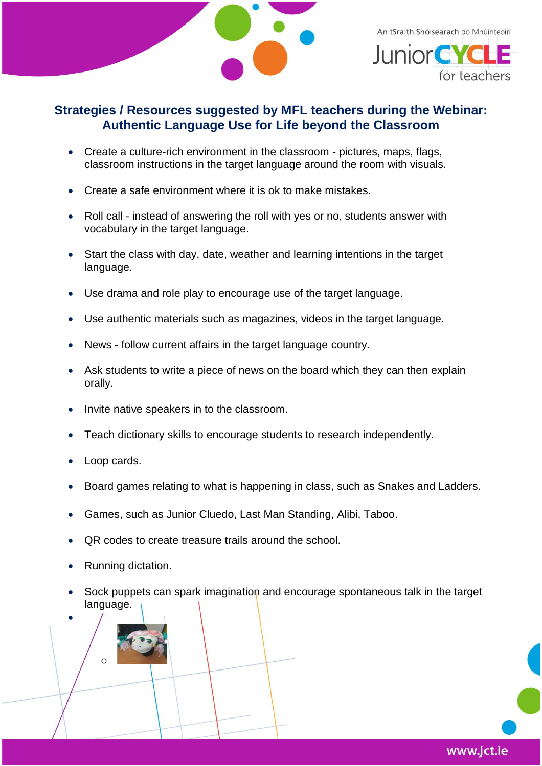

for teachers

## **Strategies / Resources suggested by MFL teachers during the Webinar: Authentic Language Use for Life beyond the Classroom**

- Create a culture-rich environment in the classroom pictures, maps, flags, classroom instructions in the target language around the room with visuals.
- Create a safe environment where it is ok to make mistakes.
- Roll call instead of answering the roll with yes or no, students answer with vocabulary in the target language.
- Start the class with day, date, weather and learning intentions in the target language.
- Use drama and role play to encourage use of the target language.
- Use authentic materials such as magazines, videos in the target language.
- News follow current affairs in the target language country.
- Ask students to write a piece of news on the board which they can then explain orally.
- Invite native speakers in to the classroom.
- Teach dictionary skills to encourage students to research independently.
- Loop cards.
- Board games relating to what is happening in class, such as Snakes and Ladders.
- Games, such as Junior Cluedo, Last Man Standing, Alibi, Taboo.
- QR codes to create treasure trails around the school.
- Running dictation.

o

•

• Sock puppets can spark imagination and encourage spontaneous talk in the target language.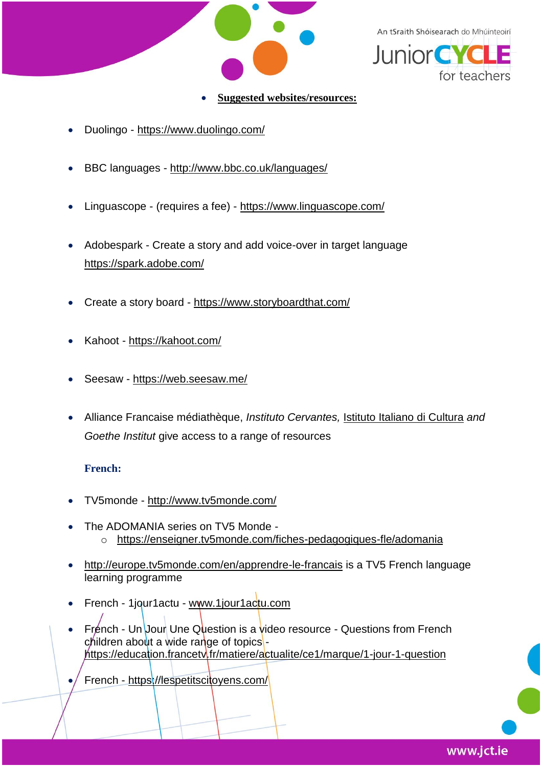

An tSraith Shóisearach do Mhúinteoirí



- **Suggested websites/resources:**
- Duolingo <https://www.duolingo.com/>
- BBC languages <http://www.bbc.co.uk/languages/>
- Linguascope (requires a fee) <https://www.linguascope.com/>
- Adobespark Create a story and add voice-over in target language <https://spark.adobe.com/>
- Create a story board <https://www.storyboardthat.com/>
- Kahoot <https://kahoot.com/>
- Seesaw <https://web.seesaw.me/>
- Alliance Francaise médiathèque, *Instituto Cervantes,* [Istituto Italiano di Cultura](https://iicdublino.esteri.it/iic_dublino/it/) *and Goethe Institut* give access to a range of resources

## **French:**

- TV5monde <http://www.tv5monde.com/>
- The ADOMANIA series on TV5 Monde o <https://enseigner.tv5monde.com/fiches-pedagogiques-fle/adomania>
- <http://europe.tv5monde.com/en/apprendre-le-francais> is a TV5 French language learning programme
- French 1jour1actu [www.1jour1actu.com](http://www.1jour1actu.com/)
- French Un Jour Une Question is a video resource Questions from French children about a wide range of topicshttps://education.francety.fr/matiere/actualite/ce1/marque/1-jour-1-question
- French <https://lespetitscitoyens.com/>

www.jct.ie